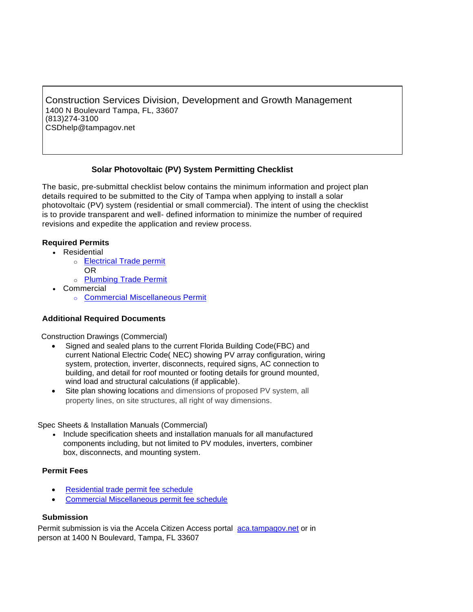Construction Services Division, Development and Growth Management 1400 N Boulevard Tampa, FL, 33607 (813)274-3100 [CSDhelp@tampagov.net](mailto:CSDhelp@tampagov.net)

# **Solar Photovoltaic (PV) System Permitting Checklist**

The basic, pre-submittal checklist below contains the minimum information and project plan details required to be submitted to the City of Tampa when applying to install a solar photovoltaic (PV) system (residential or small commercial). The intent of using the checklist is to provide transparent and well- defined information to minimize the number of required revisions and expedite the application and review process.

## **Required Permits**

- Residential
	- o [Electrical Trade permit](https://www.tampagov.net/sites/default/files/public%3A/additionalfiles/residential_trade_permit_application_6_2018.pdf) OR
	- o [Plumbing Trade Permit](https://www.tampagov.net/sites/default/files/public%3A/additionalfiles/residential_trade_permit_application_6_2018.pdf)
- Commercial
	- o [Commercial Miscellaneous](https://www.tampagov.net/sites/default/files/public%3A/additionalfiles/commercial_miscellaneous_permit_application_6_2018.pdf) Permit

## **Additional Required Documents**

Construction Drawings (Commercial)

- Signed and sealed plans to the current Florida Building Code(FBC) and current National Electric Code( NEC) showing PV array configuration, wiring system, protection, inverter, disconnects, required signs, AC connection to building, and detail for roof mounted or footing details for ground mounted, wind load and structural calculations (if applicable).
- Site plan showing locations and dimensions of proposed PV system, all property lines, on site structures, all right of way dimensions.

Spec Sheets & Installation Manuals (Commercial)

• Include specification sheets and installation manuals for all manufactured components including, but not limited to PV modules, inverters, combiner box, disconnects, and mounting system.

## **Permit Fees**

- [Residential trade permit fee schedule](https://www.tampagov.net/sites/default/files/construction-services/files/trade_permit_fee_schedule_5_31_20.pdf)
- [Commercial Miscellaneous permit fee schedule](https://www.tampagov.net/sites/default/files/construction-services/files/miscellaneous_projects_permit_fee_schedule_5_31_20.pdf)

## **Submission**

Permit submission is via the Accela Citizen Access portal [aca.tampagov.net](https://aca.tampagov.net/CitizenAccess/Default.aspx) or in person at 1400 N Boulevard, Tampa, FL 33607